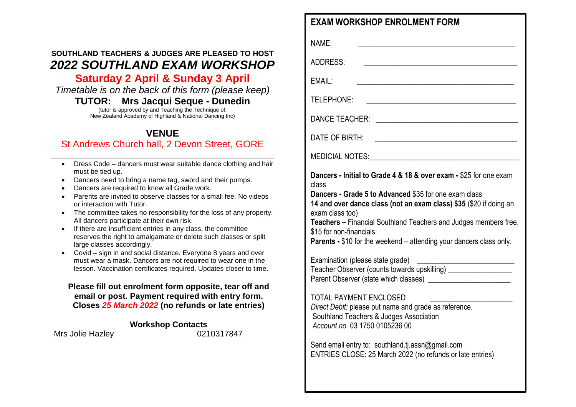# **SOUTHLAND TEACHERS & JUDGES ARE PLEASED TO HOST** *2022 SOUTHLAND EXAM WORKSHOP*

# **Saturday 2 April & Sunday 3 April**

*Timetable is on the back of this form (please keep)*

#### **TUTOR: Mrs Jacqui Seque - Dunedin**

(tutor is approved by and Teaching the Technique of: New Zealand Academy of Highland & National Dancing Inc)

### **VENUE**  St Andrews Church hall, 2 Devon Street, GORE

- **\_\_\_\_\_\_\_\_\_\_\_\_\_\_\_\_\_\_\_\_\_\_\_\_\_\_\_\_\_\_\_\_\_\_\_\_\_\_\_\_\_\_\_\_\_\_\_\_\_** Dress Code – dancers must wear suitable dance clothing and hair must be tied up.
	- Dancers need to bring a name tag, sword and their pumps.
	- Dancers are required to know all Grade work.
	- Parents are invited to observe classes for a small fee. No videos or interaction with Tutor.
	- The committee takes no responsibility for the loss of any property. All dancers participate at their own risk.
	- If there are insufficient entries in any class, the committee reserves the right to amalgamate or delete such classes or split large classes accordingly.
	- Covid sign in and social distance. Everyone 8 years and over must wear a mask. Dancers are not required to wear one in the lesson. Vaccination certificates required. Updates closer to time.

#### **Please fill out enrolment form opposite, tear off and email or post. Payment required with entry form. Closes** *25 March 2022* **(no refunds or late entries)**

#### **Workshop Contacts**

Mrs Jolie Hazley 0210317847

NAME: \_\_\_\_\_\_\_\_\_\_\_\_\_\_\_\_\_\_\_\_\_\_\_\_\_\_\_\_\_\_\_\_\_\_\_\_\_\_\_\_\_\_

 $ADDRFSS$ 

EMAIL: \_\_\_\_\_\_\_\_\_\_\_\_\_\_\_\_\_\_\_\_\_\_\_\_\_\_\_\_\_\_\_\_\_\_\_\_\_\_\_\_\_\_

TELEPHONE:

 $DANCE TFACHFR<sup>+</sup>$ 

DATE OF BIRTH:

MEDICIAL NOTES:

**Dancers - Initial to Grade 4 & 18 & over exam -** \$25 for one exam class

**Dancers - Grade 5 to Advanced** \$35 for one exam class

**14 and over dance class (not an exam class) \$35** (\$20 if doing an exam class too)

**Teachers –** Financial Southland Teachers and Judges members free. \$15 for non-financials.

**Parents -** \$10 for the weekend – attending your dancers class only.

Examination (please state grade) Teacher Observer (counts towards upskilling) \_\_\_\_\_\_\_\_\_\_\_\_\_\_\_\_\_ Parent Observer (state which classes)

#### TOTAL PAYMENT ENCLOSED

*Direct Debit:* please put name and grade as reference. Southland Teachers & Judges Association *Account no.* 03 1750 0105236 00

Send email entry to: southland.ti.assn@gmail.com ENTRIES CLOSE: 25 March 2022 (no refunds or late entries)